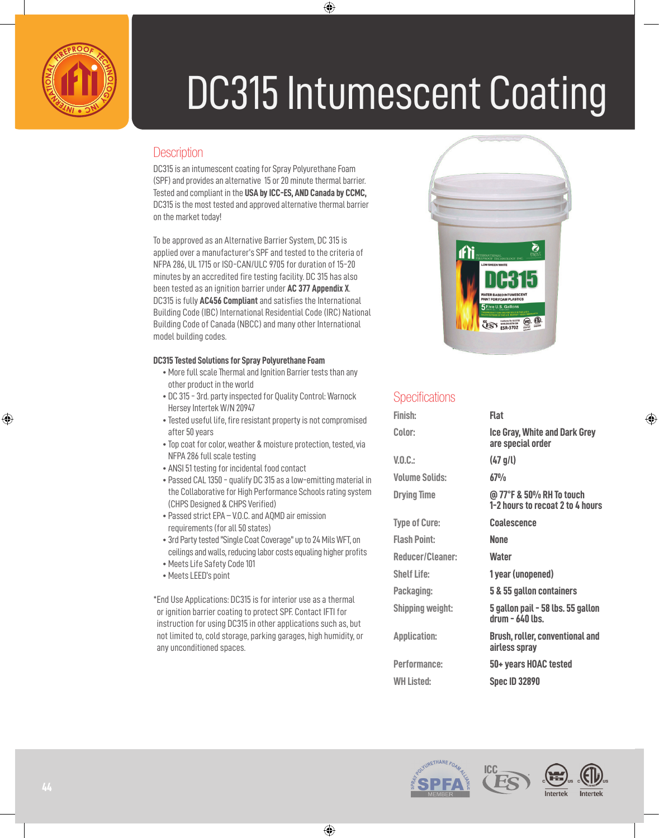

# DC315 Intumescent Coating

## **Description**

DC315 is an intumescent coating for Spray Polyurethane Foam (SPF) and provides an alternative 15 or 20 minute thermal barrier. Tested and compliant in the **USA by ICC-ES, AND Canada by CCMC,** DC315 is the most tested and approved alternative thermal barrier on the market today!

To be approved as an Alternative Barrier System, DC 315 is applied over a manufacturer's SPF and tested to the criteria of NFPA 286, UL 1715 or ISO-CAN/ULC 9705 for duration of 15-20 minutes by an accredited fire testing facility. DC 315 has also been tested as an ignition barrier under **AC 377 Appendix X**. DC315 is fully **AC456 Compliant** and satisfies the International Building Code (IBC) International Residential Code (IRC) National Building Code of Canada (NBCC) and many other International model building codes.

### **DC315 Tested Solutions for Spray Polyurethane Foam**

- More full scale Thermal and Ignition Barrier tests than any other product in the world
- DC 315 3rd. party inspected for Quality Control: Warnock Hersey Intertek W/N 20947
- Tested useful life, fire resistant property is not compromised after 50 years
- Top coat for color, weather & moisture protection, tested, via NFPA 286 full scale testing
- ANSI 51 testing for incidental food contact
- Passed CAL 1350 qualify DC 315 as a low-emitting material in the Collaborative for High Performance Schools rating system (CHPS Designed & CHPS Verified)
- Passed strict EPA V.O.C. and AQMD air emission requirements (for all 50 states)
- 3rd Party tested "Single Coat Coverage" up to 24 Mils WFT, on ceilings and walls, reducing labor costs equaling higher profits
- Meets Life Safety Code 101
- Meets LEED's point

\* End Use Applications: DC315 is for interior use as a thermal or ignition barrier coating to protect SPF. Contact IFTI for instruction for using DC315 in other applications such as, but not limited to, cold storage, parking garages, high humidity, or any unconditioned spaces.



## **Specifications**

| Finish:                 | Flat                                                         |
|-------------------------|--------------------------------------------------------------|
| Color:                  | <b>Ice Gray, White and Dark Grey</b><br>are special order    |
| V.0.C.:                 | (47 g/l)                                                     |
| <b>Volume Solids:</b>   | 67%                                                          |
| <b>Drying Time</b>      | @ 77°F & 50% RH To touch<br>1-2 hours to recoat 2 to 4 hours |
| <b>Type of Cure:</b>    | <b>Coalescence</b>                                           |
| <b>Flash Point:</b>     | <b>None</b>                                                  |
| Reducer/Cleaner:        | <b>Water</b>                                                 |
| <b>Shelf Life:</b>      | 1 year (unopened)                                            |
| Packaging:              | 5 & 55 gallon containers                                     |
| <b>Shipping weight:</b> | 5 gallon pail - 58 lbs. 55 gallon<br>$drum - 640$ lbs.       |
| <b>Application:</b>     | <b>Brush, roller, conventional and</b><br>airless spray      |
| <b>Performance:</b>     | 50+ years HOAC tested                                        |
| <b>WH Listed:</b>       | <b>Spec ID 32890</b>                                         |